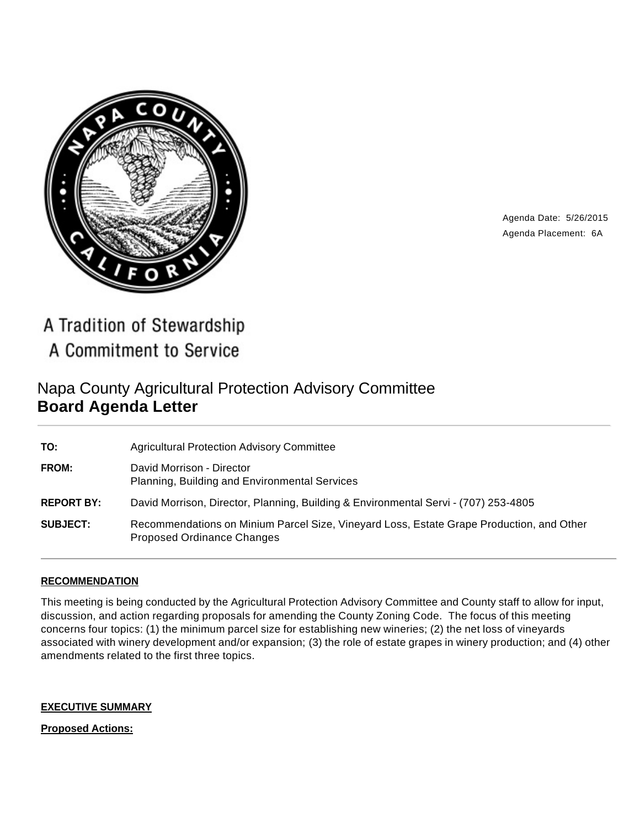

Agenda Date: 5/26/2015 Agenda Placement: 6A

A Tradition of Stewardship A Commitment to Service

# Napa County Agricultural Protection Advisory Committee **Board Agenda Letter**

| TO:               | <b>Agricultural Protection Advisory Committee</b>                                                                      |
|-------------------|------------------------------------------------------------------------------------------------------------------------|
| FROM:             | David Morrison - Director<br>Planning, Building and Environmental Services                                             |
| <b>REPORT BY:</b> | David Morrison, Director, Planning, Building & Environmental Servi - (707) 253-4805                                    |
| <b>SUBJECT:</b>   | Recommendations on Minium Parcel Size, Vineyard Loss, Estate Grape Production, and Other<br>Proposed Ordinance Changes |

# **RECOMMENDATION**

This meeting is being conducted by the Agricultural Protection Advisory Committee and County staff to allow for input, discussion, and action regarding proposals for amending the County Zoning Code. The focus of this meeting concerns four topics: (1) the minimum parcel size for establishing new wineries; (2) the net loss of vineyards associated with winery development and/or expansion; (3) the role of estate grapes in winery production; and (4) other amendments related to the first three topics.

#### **EXECUTIVE SUMMARY**

**Proposed Actions:**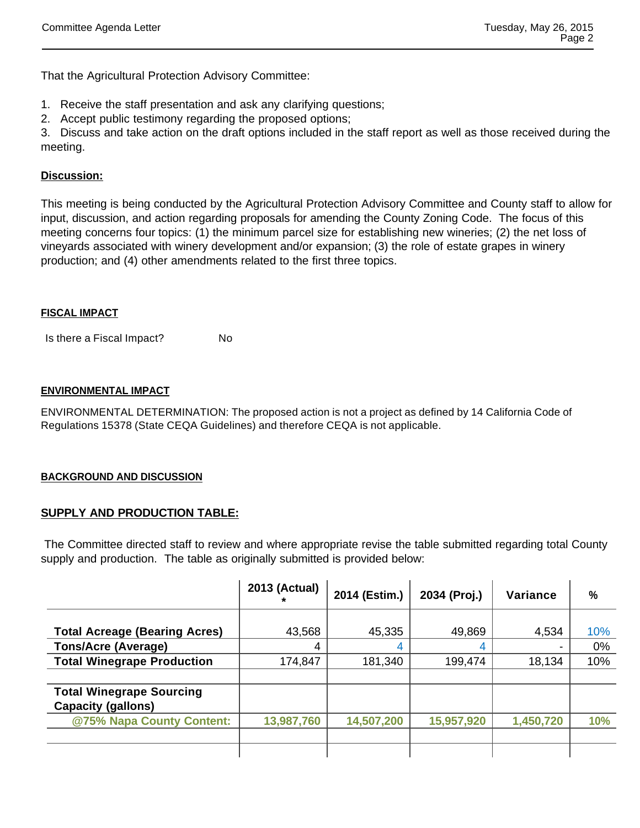That the Agricultural Protection Advisory Committee:

- 1. Receive the staff presentation and ask any clarifying questions;
- 2. Accept public testimony regarding the proposed options;

3. Discuss and take action on the draft options included in the staff report as well as those received during the meeting.

# **Discussion:**

This meeting is being conducted by the Agricultural Protection Advisory Committee and County staff to allow for input, discussion, and action regarding proposals for amending the County Zoning Code. The focus of this meeting concerns four topics: (1) the minimum parcel size for establishing new wineries; (2) the net loss of vineyards associated with winery development and/or expansion; (3) the role of estate grapes in winery production; and (4) other amendments related to the first three topics.

#### **FISCAL IMPACT**

Is there a Fiscal Impact? No

#### **ENVIRONMENTAL IMPACT**

ENVIRONMENTAL DETERMINATION: The proposed action is not a project as defined by 14 California Code of Regulations 15378 (State CEQA Guidelines) and therefore CEQA is not applicable.

#### **BACKGROUND AND DISCUSSION**

# **SUPPLY AND PRODUCTION TABLE:**

The Committee directed staff to review and where appropriate revise the table submitted regarding total County supply and production. The table as originally submitted is provided below:

|                                                              | 2013 (Actual) | 2014 (Estim.) | 2034 (Proj.) | Variance  | $\frac{0}{0}$ |
|--------------------------------------------------------------|---------------|---------------|--------------|-----------|---------------|
| <b>Total Acreage (Bearing Acres)</b>                         | 43,568        | 45,335        | 49,869       | 4,534     | 10%           |
| <b>Tons/Acre (Average)</b>                                   |               | 4             |              |           | 0%            |
| <b>Total Winegrape Production</b>                            | 174,847       | 181,340       | 199,474      | 18,134    | 10%           |
|                                                              |               |               |              |           |               |
| <b>Total Winegrape Sourcing</b><br><b>Capacity (gallons)</b> |               |               |              |           |               |
| @75% Napa County Content:                                    | 13,987,760    | 14,507,200    | 15,957,920   | 1,450,720 | 10%           |
|                                                              |               |               |              |           |               |
|                                                              |               |               |              |           |               |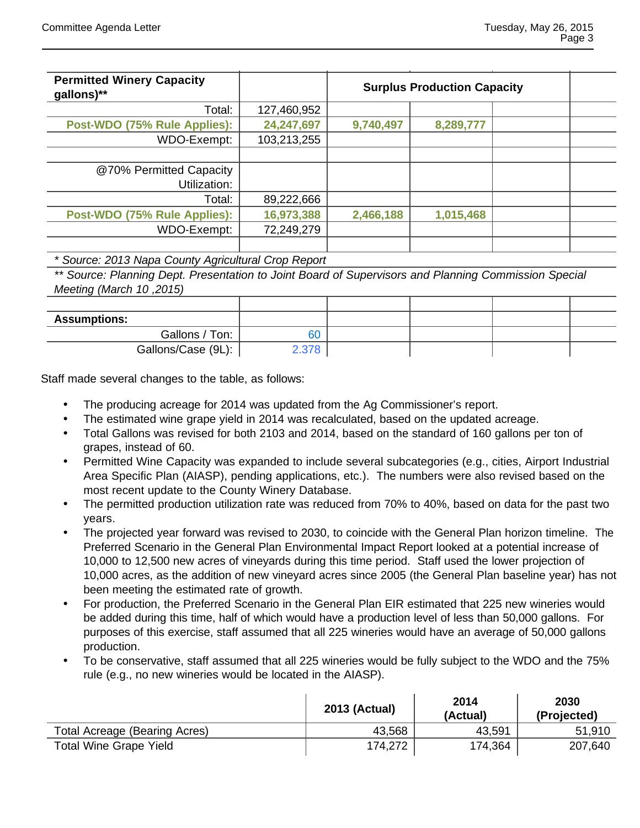| <b>Permitted Winery Capacity</b> |             |                                    |           |  |  |
|----------------------------------|-------------|------------------------------------|-----------|--|--|
| gallons)**                       |             | <b>Surplus Production Capacity</b> |           |  |  |
| Total:                           | 127,460,952 |                                    |           |  |  |
| Post-WDO (75% Rule Applies):     | 24,247,697  | 9,740,497                          | 8,289,777 |  |  |
| WDO-Exempt:                      | 103,213,255 |                                    |           |  |  |
|                                  |             |                                    |           |  |  |
| @70% Permitted Capacity          |             |                                    |           |  |  |
| Utilization:                     |             |                                    |           |  |  |
| Total:                           | 89,222,666  |                                    |           |  |  |
| Post-WDO (75% Rule Applies):     | 16,973,388  | 2,466,188                          | 1,015,468 |  |  |
| WDO-Exempt:                      | 72,249,279  |                                    |           |  |  |
|                                  |             |                                    |           |  |  |

#### \* Source: 2013 Napa County Agricultural Crop Report

\*\* Source: Planning Dept. Presentation to Joint Board of Supervisors and Planning Commission Special Meeting (March 10, 2015)

| <b>Assumptions:</b> |      |  |  |
|---------------------|------|--|--|
| Gallons / Ton:      | 60   |  |  |
| Gallons/Case (9L):  | .378 |  |  |

Staff made several changes to the table, as follows:

- The producing acreage for 2014 was updated from the Ag Commissioner's report.
- The estimated wine grape yield in 2014 was recalculated, based on the updated acreage.
- Total Gallons was revised for both 2103 and 2014, based on the standard of 160 gallons per ton of grapes, instead of 60.
- Permitted Wine Capacity was expanded to include several subcategories (e.g., cities, Airport Industrial Area Specific Plan (AIASP), pending applications, etc.). The numbers were also revised based on the most recent update to the County Winery Database.
- The permitted production utilization rate was reduced from 70% to 40%, based on data for the past two years.
- The projected year forward was revised to 2030, to coincide with the General Plan horizon timeline. The Preferred Scenario in the General Plan Environmental Impact Report looked at a potential increase of 10,000 to 12,500 new acres of vineyards during this time period. Staff used the lower projection of 10,000 acres, as the addition of new vineyard acres since 2005 (the General Plan baseline year) has not been meeting the estimated rate of growth.
- For production, the Preferred Scenario in the General Plan EIR estimated that 225 new wineries would be added during this time, half of which would have a production level of less than 50,000 gallons. For purposes of this exercise, staff assumed that all 225 wineries would have an average of 50,000 gallons production.
- To be conservative, staff assumed that all 225 wineries would be fully subject to the WDO and the 75% rule (e.g., no new wineries would be located in the AIASP).

|                               | <b>2013 (Actual)</b> | 2014<br>(Actual) | 2030<br>(Projected) |
|-------------------------------|----------------------|------------------|---------------------|
| Total Acreage (Bearing Acres) | 43,568               | 43,591           | 51,910              |
| <b>Total Wine Grape Yield</b> | 174,272              | 174,364          | 207,640             |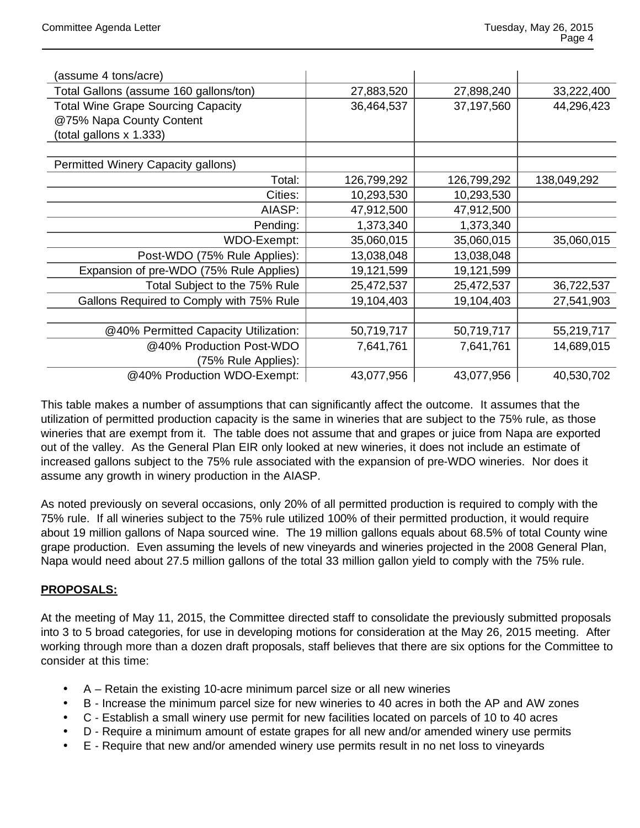| (assume 4 tons/acre)                      |             |             |             |
|-------------------------------------------|-------------|-------------|-------------|
| Total Gallons (assume 160 gallons/ton)    | 27,883,520  | 27,898,240  | 33,222,400  |
| <b>Total Wine Grape Sourcing Capacity</b> | 36,464,537  | 37,197,560  | 44,296,423  |
| @75% Napa County Content                  |             |             |             |
| (total gallons x 1.333)                   |             |             |             |
|                                           |             |             |             |
| Permitted Winery Capacity gallons)        |             |             |             |
| Total:                                    | 126,799,292 | 126,799,292 | 138,049,292 |
| Cities:                                   | 10,293,530  | 10,293,530  |             |
| AIASP:                                    | 47,912,500  | 47,912,500  |             |
| Pending:                                  | 1,373,340   | 1,373,340   |             |
| WDO-Exempt:                               | 35,060,015  | 35,060,015  | 35,060,015  |
| Post-WDO (75% Rule Applies):              | 13,038,048  | 13,038,048  |             |
| Expansion of pre-WDO (75% Rule Applies)   | 19,121,599  | 19,121,599  |             |
| Total Subject to the 75% Rule             | 25,472,537  | 25,472,537  | 36,722,537  |
| Gallons Required to Comply with 75% Rule  | 19,104,403  | 19,104,403  | 27,541,903  |
|                                           |             |             |             |
| @40% Permitted Capacity Utilization:      | 50,719,717  | 50,719,717  | 55,219,717  |
| @40% Production Post-WDO                  | 7,641,761   | 7,641,761   | 14,689,015  |
| (75% Rule Applies):                       |             |             |             |
| @40% Production WDO-Exempt:               | 43,077,956  | 43,077,956  | 40,530,702  |

This table makes a number of assumptions that can significantly affect the outcome. It assumes that the utilization of permitted production capacity is the same in wineries that are subject to the 75% rule, as those wineries that are exempt from it. The table does not assume that and grapes or juice from Napa are exported out of the valley. As the General Plan EIR only looked at new wineries, it does not include an estimate of increased gallons subject to the 75% rule associated with the expansion of pre-WDO wineries. Nor does it assume any growth in winery production in the AIASP.

As noted previously on several occasions, only 20% of all permitted production is required to comply with the 75% rule. If all wineries subject to the 75% rule utilized 100% of their permitted production, it would require about 19 million gallons of Napa sourced wine. The 19 million gallons equals about 68.5% of total County wine grape production. Even assuming the levels of new vineyards and wineries projected in the 2008 General Plan, Napa would need about 27.5 million gallons of the total 33 million gallon yield to comply with the 75% rule.

# **PROPOSALS:**

At the meeting of May 11, 2015, the Committee directed staff to consolidate the previously submitted proposals into 3 to 5 broad categories, for use in developing motions for consideration at the May 26, 2015 meeting. After working through more than a dozen draft proposals, staff believes that there are six options for the Committee to consider at this time:

- A Retain the existing 10-acre minimum parcel size or all new wineries
- B Increase the minimum parcel size for new wineries to 40 acres in both the AP and AW zones
- C Establish a small winery use permit for new facilities located on parcels of 10 to 40 acres
- D Require a minimum amount of estate grapes for all new and/or amended winery use permits
- E Require that new and/or amended winery use permits result in no net loss to vineyards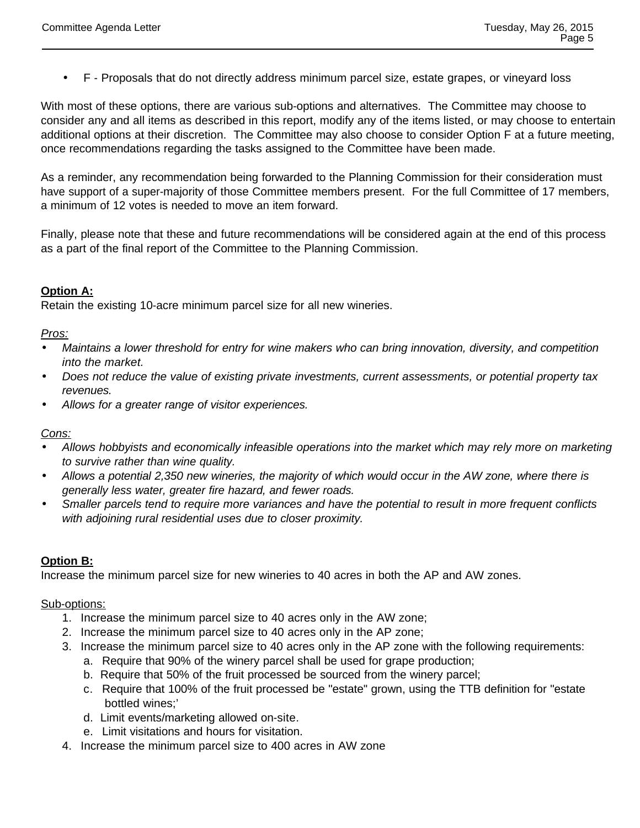F - Proposals that do not directly address minimum parcel size, estate grapes, or vineyard loss

With most of these options, there are various sub-options and alternatives. The Committee may choose to consider any and all items as described in this report, modify any of the items listed, or may choose to entertain additional options at their discretion. The Committee may also choose to consider Option F at a future meeting, once recommendations regarding the tasks assigned to the Committee have been made.

As a reminder, any recommendation being forwarded to the Planning Commission for their consideration must have support of a super-majority of those Committee members present. For the full Committee of 17 members, a minimum of 12 votes is needed to move an item forward.

Finally, please note that these and future recommendations will be considered again at the end of this process as a part of the final report of the Committee to the Planning Commission.

# **Option A:**

Retain the existing 10-acre minimum parcel size for all new wineries.

#### Pros:

- Maintains a lower threshold for entry for wine makers who can bring innovation, diversity, and competition into the market.
- Does not reduce the value of existing private investments, current assessments, or potential property tax revenues.
- Allows for a greater range of visitor experiences.

#### Cons:

- Allows hobbyists and economically infeasible operations into the market which may rely more on marketing to survive rather than wine quality.
- Allows a potential 2,350 new wineries, the majority of which would occur in the AW zone, where there is generally less water, greater fire hazard, and fewer roads.
- Smaller parcels tend to require more variances and have the potential to result in more frequent conflicts with adjoining rural residential uses due to closer proximity.

# **Option B:**

Increase the minimum parcel size for new wineries to 40 acres in both the AP and AW zones.

#### Sub-options:

- 1. Increase the minimum parcel size to 40 acres only in the AW zone;
- 2. Increase the minimum parcel size to 40 acres only in the AP zone;
- 3. Increase the minimum parcel size to 40 acres only in the AP zone with the following requirements:
	- a. Require that 90% of the winery parcel shall be used for grape production;
	- b. Require that 50% of the fruit processed be sourced from the winery parcel;
	- c. Require that 100% of the fruit processed be "estate" grown, using the TTB definition for "estate bottled wines;'
	- d. Limit events/marketing allowed on-site.
	- e. Limit visitations and hours for visitation.
- 4. Increase the minimum parcel size to 400 acres in AW zone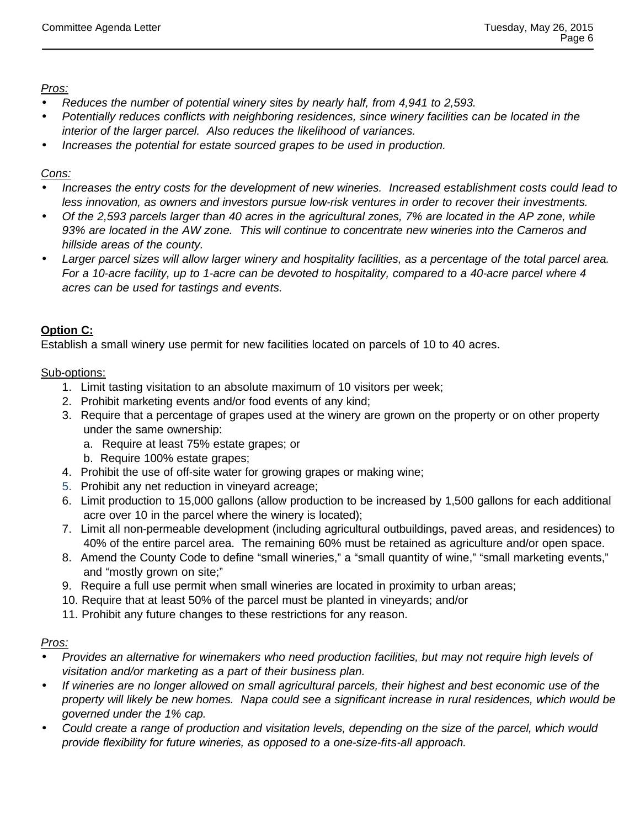# Pros:

- Reduces the number of potential winery sites by nearly half, from 4,941 to 2,593.
- Potentially reduces conflicts with neighboring residences, since winery facilities can be located in the interior of the larger parcel. Also reduces the likelihood of variances.
- Increases the potential for estate sourced grapes to be used in production.

# Cons:

- Increases the entry costs for the development of new wineries. Increased establishment costs could lead to less innovation, as owners and investors pursue low-risk ventures in order to recover their investments.
- Of the 2,593 parcels larger than 40 acres in the agricultural zones, 7% are located in the AP zone, while 93% are located in the AW zone. This will continue to concentrate new wineries into the Carneros and hillside areas of the county.
- Larger parcel sizes will allow larger winery and hospitality facilities, as a percentage of the total parcel area. For a 10-acre facility, up to 1-acre can be devoted to hospitality, compared to a 40-acre parcel where 4 acres can be used for tastings and events.

# **Option C:**

Establish a small winery use permit for new facilities located on parcels of 10 to 40 acres.

# Sub-options:

- 1. Limit tasting visitation to an absolute maximum of 10 visitors per week;
- 2. Prohibit marketing events and/or food events of any kind;
- 3. Require that a percentage of grapes used at the winery are grown on the property or on other property under the same ownership:
	- a. Require at least 75% estate grapes; or
	- b. Require 100% estate grapes;
- 4. Prohibit the use of off-site water for growing grapes or making wine;
- 5. Prohibit any net reduction in vineyard acreage;
- 6. Limit production to 15,000 gallons (allow production to be increased by 1,500 gallons for each additional acre over 10 in the parcel where the winery is located);
- 7. Limit all non-permeable development (including agricultural outbuildings, paved areas, and residences) to 40% of the entire parcel area. The remaining 60% must be retained as agriculture and/or open space.
- 8. Amend the County Code to define "small wineries," a "small quantity of wine," "small marketing events," and "mostly grown on site;"
- 9. Require a full use permit when small wineries are located in proximity to urban areas;
- 10. Require that at least 50% of the parcel must be planted in vineyards; and/or
- 11. Prohibit any future changes to these restrictions for any reason.

# Pros:

- Provides an alternative for winemakers who need production facilities, but may not require high levels of visitation and/or marketing as a part of their business plan.
- If wineries are no longer allowed on small agricultural parcels, their highest and best economic use of the property will likely be new homes. Napa could see a significant increase in rural residences, which would be governed under the 1% cap.
- Could create a range of production and visitation levels, depending on the size of the parcel, which would provide flexibility for future wineries, as opposed to a one-size-fits-all approach.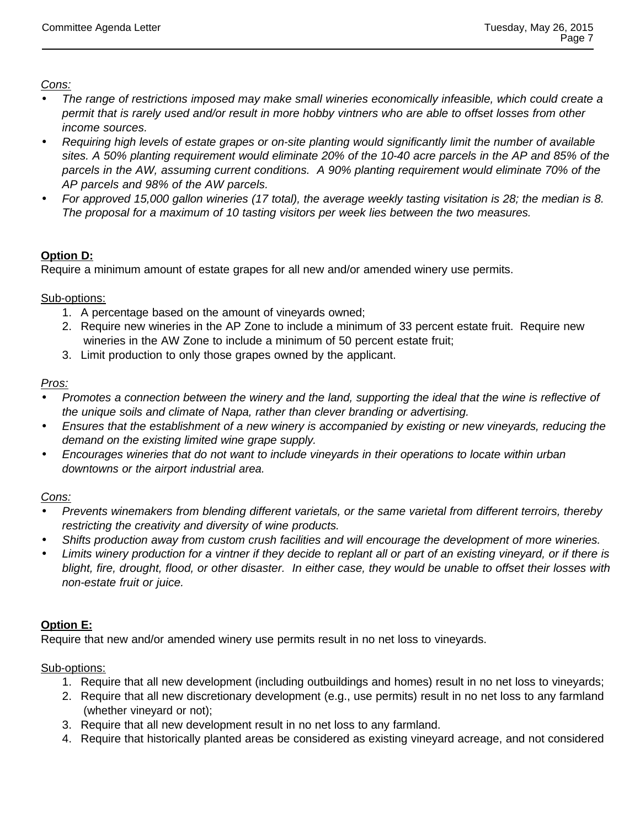Cons:

- The range of restrictions imposed may make small wineries economically infeasible, which could create a permit that is rarely used and/or result in more hobby vintners who are able to offset losses from other income sources.
- Requiring high levels of estate grapes or on-site planting would significantly limit the number of available sites. A 50% planting requirement would eliminate 20% of the 10-40 acre parcels in the AP and 85% of the parcels in the AW, assuming current conditions. A 90% planting requirement would eliminate 70% of the AP parcels and 98% of the AW parcels.
- For approved 15,000 gallon wineries (17 total), the average weekly tasting visitation is 28; the median is 8. The proposal for a maximum of 10 tasting visitors per week lies between the two measures.

# **Option D:**

Require a minimum amount of estate grapes for all new and/or amended winery use permits.

Sub-options:

- 1. A percentage based on the amount of vineyards owned;
- 2. Require new wineries in the AP Zone to include a minimum of 33 percent estate fruit. Require new wineries in the AW Zone to include a minimum of 50 percent estate fruit;
- 3. Limit production to only those grapes owned by the applicant.

# Pros:

- Promotes a connection between the winery and the land, supporting the ideal that the wine is reflective of the unique soils and climate of Napa, rather than clever branding or advertising.
- Ensures that the establishment of a new winery is accompanied by existing or new vineyards, reducing the demand on the existing limited wine grape supply.
- Encourages wineries that do not want to include vineyards in their operations to locate within urban downtowns or the airport industrial area.

# Cons:

- Prevents winemakers from blending different varietals, or the same varietal from different terroirs, thereby restricting the creativity and diversity of wine products.
- Shifts production away from custom crush facilities and will encourage the development of more wineries.
- Limits winery production for a vintner if they decide to replant all or part of an existing vineyard, or if there is blight, fire, drought, flood, or other disaster. In either case, they would be unable to offset their losses with non-estate fruit or juice.

# **Option E:**

Require that new and/or amended winery use permits result in no net loss to vineyards.

Sub-options:

- 1. Require that all new development (including outbuildings and homes) result in no net loss to vineyards;
- 2. Require that all new discretionary development (e.g., use permits) result in no net loss to any farmland (whether vineyard or not);
- 3. Require that all new development result in no net loss to any farmland.
- 4. Require that historically planted areas be considered as existing vineyard acreage, and not considered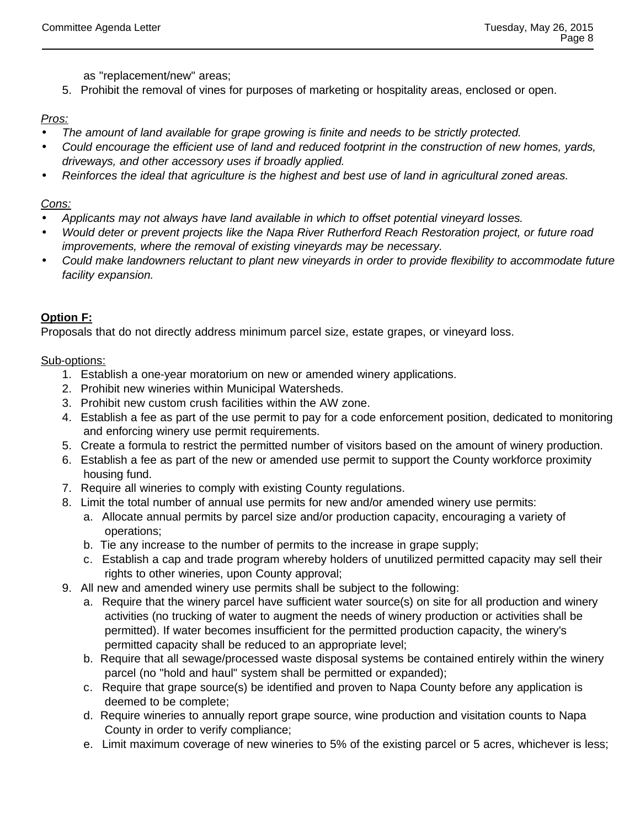as "replacement/new" areas;

5. Prohibit the removal of vines for purposes of marketing or hospitality areas, enclosed or open.

# Pros:

- The amount of land available for grape growing is finite and needs to be strictly protected. Could encourage the efficient use of land and reduced footprint in the construction of new homes, yards,
- driveways, and other accessory uses if broadly applied.
- Reinforces the ideal that agriculture is the highest and best use of land in agricultural zoned areas.

# Cons:

- Applicants may not always have land available in which to offset potential vineyard losses.
- Would deter or prevent projects like the Napa River Rutherford Reach Restoration project, or future road improvements, where the removal of existing vineyards may be necessary.
- Could make landowners reluctant to plant new vineyards in order to provide flexibility to accommodate future facility expansion.

# **Option F:**

Proposals that do not directly address minimum parcel size, estate grapes, or vineyard loss.

# Sub-options:

- 1. Establish a one-year moratorium on new or amended winery applications.
- 2. Prohibit new wineries within Municipal Watersheds.
- 3. Prohibit new custom crush facilities within the AW zone.
- 4. Establish a fee as part of the use permit to pay for a code enforcement position, dedicated to monitoring and enforcing winery use permit requirements.
- 5. Create a formula to restrict the permitted number of visitors based on the amount of winery production.
- 6. Establish a fee as part of the new or amended use permit to support the County workforce proximity housing fund.
- 7. Require all wineries to comply with existing County regulations.
- 8. Limit the total number of annual use permits for new and/or amended winery use permits:
	- a. Allocate annual permits by parcel size and/or production capacity, encouraging a variety of operations;
	- b. Tie any increase to the number of permits to the increase in grape supply;
	- c. Establish a cap and trade program whereby holders of unutilized permitted capacity may sell their rights to other wineries, upon County approval;
- 9. All new and amended winery use permits shall be subject to the following:
	- a. Require that the winery parcel have sufficient water source(s) on site for all production and winery activities (no trucking of water to augment the needs of winery production or activities shall be permitted). If water becomes insufficient for the permitted production capacity, the winery's permitted capacity shall be reduced to an appropriate level;
	- b. Require that all sewage/processed waste disposal systems be contained entirely within the winery parcel (no "hold and haul" system shall be permitted or expanded);
	- c. Require that grape source(s) be identified and proven to Napa County before any application is deemed to be complete;
	- d. Require wineries to annually report grape source, wine production and visitation counts to Napa County in order to verify compliance;
	- e. Limit maximum coverage of new wineries to 5% of the existing parcel or 5 acres, whichever is less;